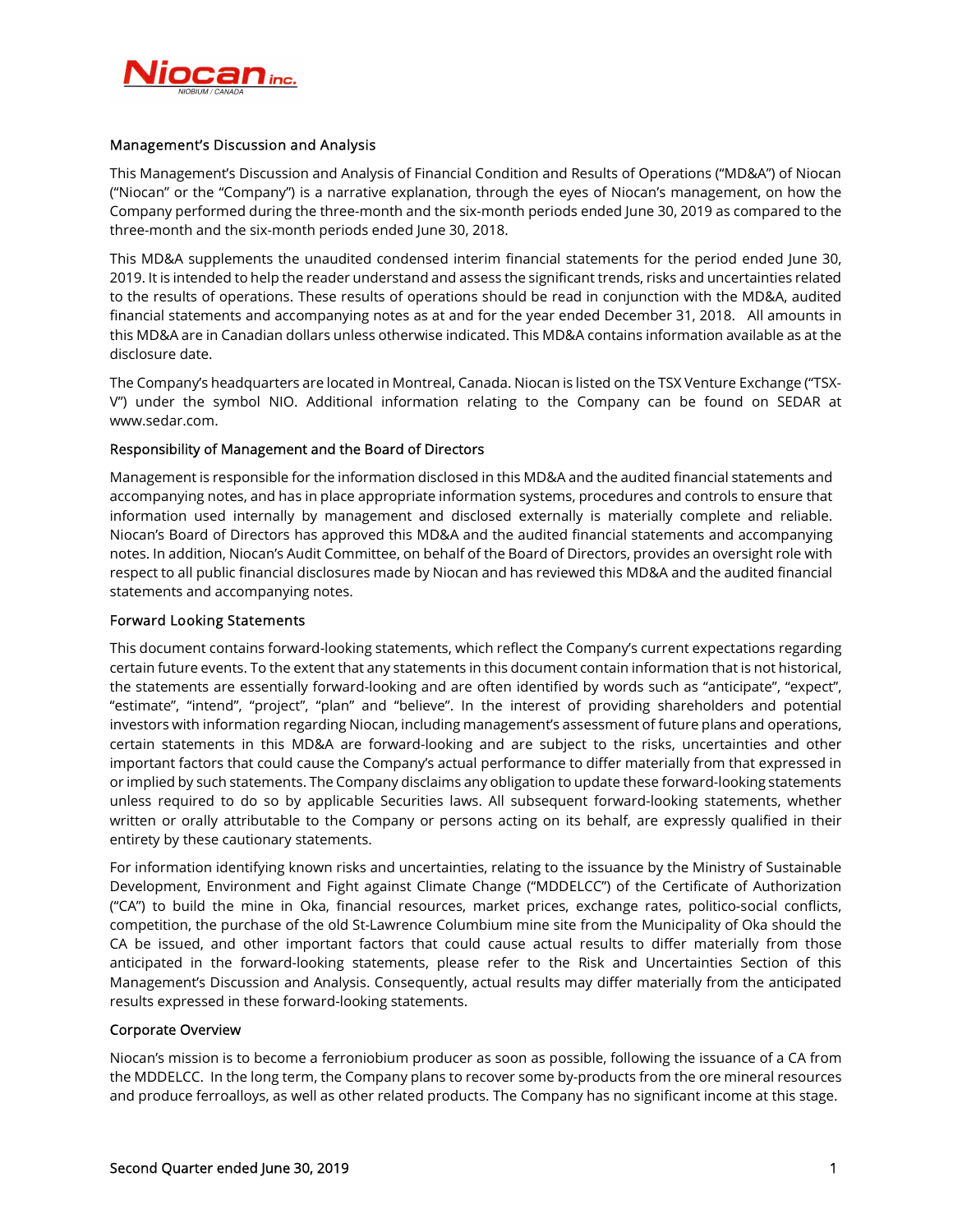

# Management's Discussion and Analysis

This Management's Discussion and Analysis of Financial Condition and Results of Operations ("MD&A") of Niocan ("Niocan" or the "Company") is a narrative explanation, through the eyes of Niocan's management, on how the Company performed during the three-month and the six-month periods ended June 30, 2019 as compared to the three-month and the six-month periods ended June 30, 2018.

This MD&A supplements the unaudited condensed interim financial statements for the period ended June 30, 2019. It is intended to help the reader understand and assess the significant trends, risks and uncertainties related to the results of operations. These results of operations should be read in conjunction with the MD&A, audited financial statements and accompanying notes as at and for the year ended December 31, 2018. All amounts in this MD&A are in Canadian dollars unless otherwise indicated. This MD&A contains information available as at the disclosure date.

The Company's headquarters are located in Montreal, Canada. Niocan is listed on the TSX Venture Exchange ("TSX-V") under the symbol NIO. Additional information relating to the Company can be found on SEDAR at www.sedar.com.

# Responsibility of Management and the Board of Directors

Management is responsible for the information disclosed in this MD&A and the audited financial statements and accompanying notes, and has in place appropriate information systems, procedures and controls to ensure that information used internally by management and disclosed externally is materially complete and reliable. Niocan's Board of Directors has approved this MD&A and the audited financial statements and accompanying notes. In addition, Niocan's Audit Committee, on behalf of the Board of Directors, provides an oversight role with respect to all public financial disclosures made by Niocan and has reviewed this MD&A and the audited financial statements and accompanying notes.

## Forward Looking Statements

This document contains forward-looking statements, which reflect the Company's current expectations regarding certain future events. To the extent that any statements in this document contain information that is not historical, the statements are essentially forward-looking and are often identified by words such as "anticipate", "expect", "estimate", "intend", "project", "plan" and "believe". In the interest of providing shareholders and potential investors with information regarding Niocan, including management's assessment of future plans and operations, certain statements in this MD&A are forward-looking and are subject to the risks, uncertainties and other important factors that could cause the Company's actual performance to differ materially from that expressed in or implied by such statements. The Company disclaims any obligation to update these forward-looking statements unless required to do so by applicable Securities laws. All subsequent forward-looking statements, whether written or orally attributable to the Company or persons acting on its behalf, are expressly qualified in their entirety by these cautionary statements.

For information identifying known risks and uncertainties, relating to the issuance by the Ministry of Sustainable Development, Environment and Fight against Climate Change ("MDDELCC") of the Certificate of Authorization ("CA") to build the mine in Oka, financial resources, market prices, exchange rates, politico-social conflicts, competition, the purchase of the old St-Lawrence Columbium mine site from the Municipality of Oka should the CA be issued, and other important factors that could cause actual results to differ materially from those anticipated in the forward-looking statements, please refer to the Risk and Uncertainties Section of this Management's Discussion and Analysis. Consequently, actual results may differ materially from the anticipated results expressed in these forward-looking statements.

### Corporate Overview

Niocan's mission is to become a ferroniobium producer as soon as possible, following the issuance of a CA from the MDDELCC. In the long term, the Company plans to recover some by-products from the ore mineral resources and produce ferroalloys, as well as other related products. The Company has no significant income at this stage.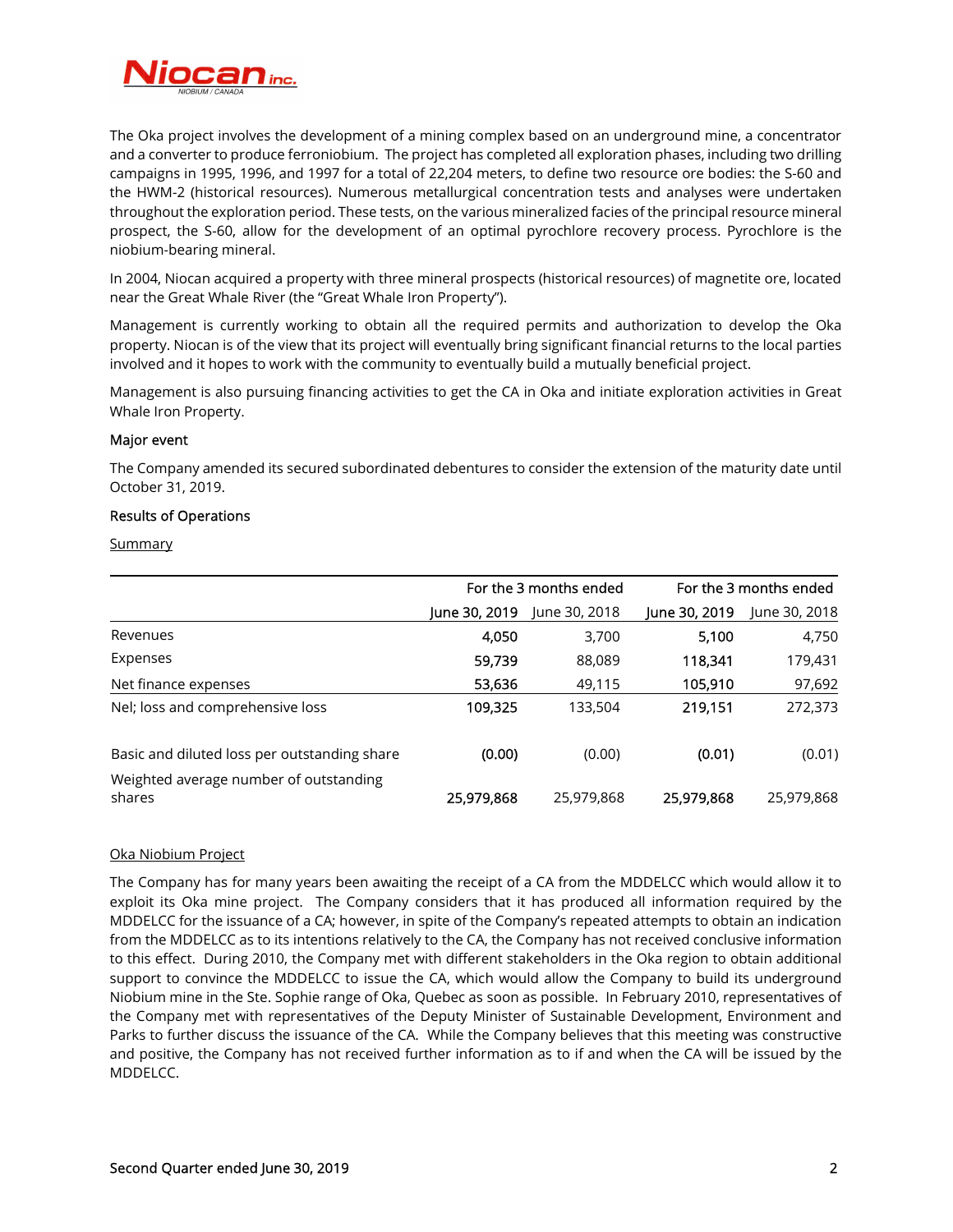

The Oka project involves the development of a mining complex based on an underground mine, a concentrator and a converter to produce ferroniobium. The project has completed all exploration phases, including two drilling campaigns in 1995, 1996, and 1997 for a total of 22,204 meters, to define two resource ore bodies: the S-60 and the HWM-2 (historical resources). Numerous metallurgical concentration tests and analyses were undertaken throughout the exploration period. These tests, on the various mineralized facies of the principal resource mineral prospect, the S-60, allow for the development of an optimal pyrochlore recovery process. Pyrochlore is the niobium-bearing mineral.

In 2004, Niocan acquired a property with three mineral prospects (historical resources) of magnetite ore, located near the Great Whale River (the "Great Whale Iron Property").

Management is currently working to obtain all the required permits and authorization to develop the Oka property. Niocan is of the view that its project will eventually bring significant financial returns to the local parties involved and it hopes to work with the community to eventually build a mutually beneficial project.

Management is also pursuing financing activities to get the CA in Oka and initiate exploration activities in Great Whale Iron Property.

## Major event

The Company amended its secured subordinated debentures to consider the extension of the maturity date until October 31, 2019.

### Results of Operations

**Summary** 

|                                                  | For the 3 months ended |               | For the 3 months ended |               |
|--------------------------------------------------|------------------------|---------------|------------------------|---------------|
|                                                  | June 30, 2019          | June 30, 2018 | June 30, 2019          | June 30, 2018 |
| Revenues                                         | 4,050                  | 3,700         | 5,100                  | 4,750         |
| Expenses                                         | 59,739                 | 88,089        | 118,341                | 179,431       |
| Net finance expenses                             | 53,636                 | 49,115        | 105,910                | 97,692        |
| Nel; loss and comprehensive loss                 | 109,325                | 133,504       | 219,151                | 272,373       |
| Basic and diluted loss per outstanding share     | (0.00)                 | (0.00)        | (0.01)                 | (0.01)        |
| Weighted average number of outstanding<br>shares | 25,979,868             | 25,979,868    | 25,979,868             | 25,979,868    |

### Oka Niobium Project

The Company has for many years been awaiting the receipt of a CA from the MDDELCC which would allow it to exploit its Oka mine project. The Company considers that it has produced all information required by the MDDELCC for the issuance of a CA; however, in spite of the Company's repeated attempts to obtain an indication from the MDDELCC as to its intentions relatively to the CA, the Company has not received conclusive information to this effect. During 2010, the Company met with different stakeholders in the Oka region to obtain additional support to convince the MDDELCC to issue the CA, which would allow the Company to build its underground Niobium mine in the Ste. Sophie range of Oka, Quebec as soon as possible. In February 2010, representatives of the Company met with representatives of the Deputy Minister of Sustainable Development, Environment and Parks to further discuss the issuance of the CA. While the Company believes that this meeting was constructive and positive, the Company has not received further information as to if and when the CA will be issued by the MDDELCC.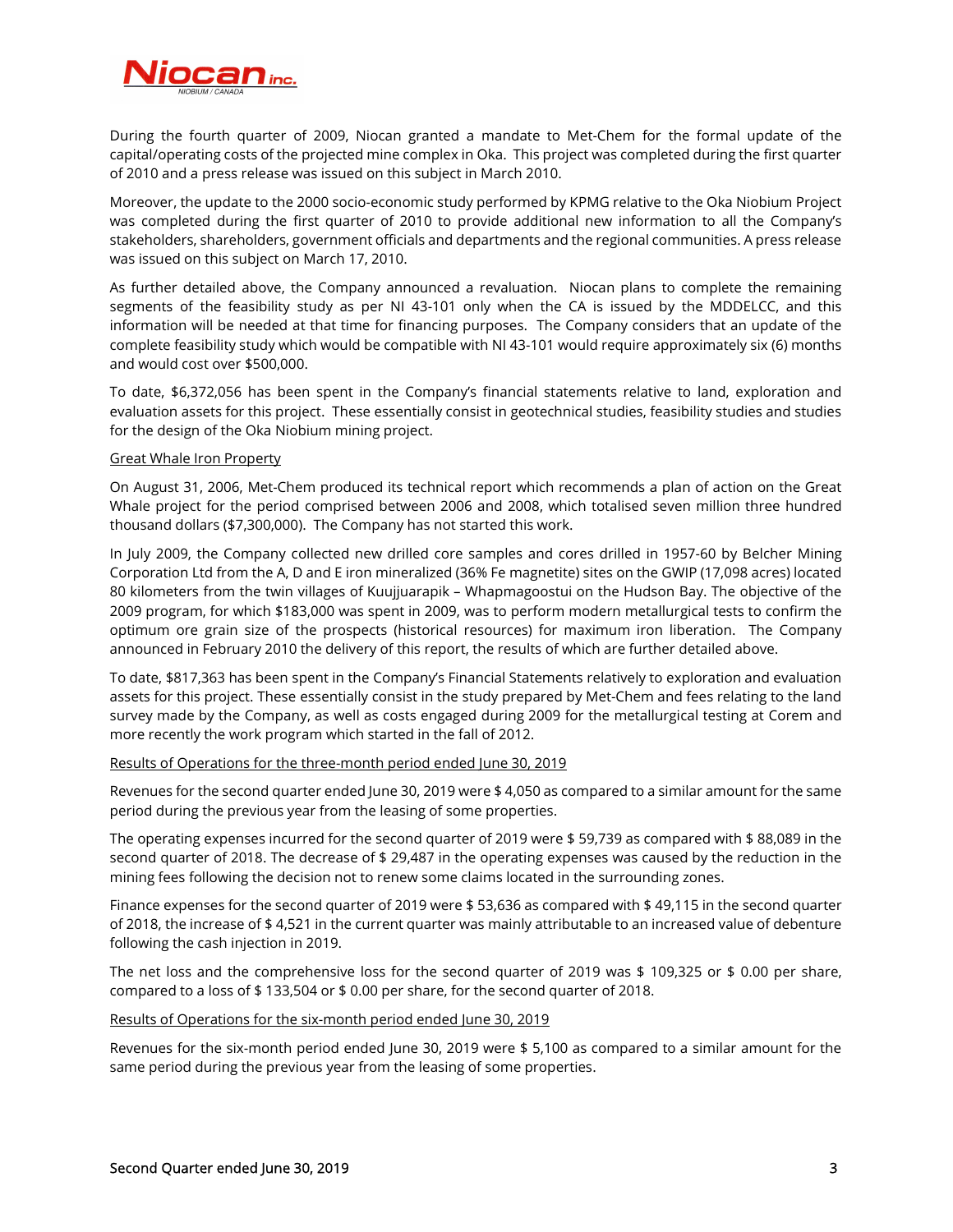

During the fourth quarter of 2009, Niocan granted a mandate to Met-Chem for the formal update of the capital/operating costs of the projected mine complex in Oka. This project was completed during the first quarter of 2010 and a press release was issued on this subject in March 2010.

Moreover, the update to the 2000 socio-economic study performed by KPMG relative to the Oka Niobium Project was completed during the first quarter of 2010 to provide additional new information to all the Company's stakeholders, shareholders, government officials and departments and the regional communities. A press release was issued on this subject on March 17, 2010.

As further detailed above, the Company announced a revaluation. Niocan plans to complete the remaining segments of the feasibility study as per NI 43-101 only when the CA is issued by the MDDELCC, and this information will be needed at that time for financing purposes. The Company considers that an update of the complete feasibility study which would be compatible with NI 43-101 would require approximately six (6) months and would cost over \$500,000.

To date, \$6,372,056 has been spent in the Company's financial statements relative to land, exploration and evaluation assets for this project. These essentially consist in geotechnical studies, feasibility studies and studies for the design of the Oka Niobium mining project.

### Great Whale Iron Property

On August 31, 2006, Met-Chem produced its technical report which recommends a plan of action on the Great Whale project for the period comprised between 2006 and 2008, which totalised seven million three hundred thousand dollars (\$7,300,000). The Company has not started this work.

In July 2009, the Company collected new drilled core samples and cores drilled in 1957-60 by Belcher Mining Corporation Ltd from the A, D and E iron mineralized (36% Fe magnetite) sites on the GWIP (17,098 acres) located 80 kilometers from the twin villages of Kuujjuarapik – Whapmagoostui on the Hudson Bay. The objective of the 2009 program, for which \$183,000 was spent in 2009, was to perform modern metallurgical tests to confirm the optimum ore grain size of the prospects (historical resources) for maximum iron liberation. The Company announced in February 2010 the delivery of this report, the results of which are further detailed above.

To date, \$817,363 has been spent in the Company's Financial Statements relatively to exploration and evaluation assets for this project. These essentially consist in the study prepared by Met-Chem and fees relating to the land survey made by the Company, as well as costs engaged during 2009 for the metallurgical testing at Corem and more recently the work program which started in the fall of 2012.

### Results of Operations for the three-month period ended June 30, 2019

Revenues for the second quarter ended June 30, 2019 were \$ 4,050 as compared to a similar amount for the same period during the previous year from the leasing of some properties.

The operating expenses incurred for the second quarter of 2019 were \$ 59,739 as compared with \$88,089 in the second quarter of 2018. The decrease of \$ 29,487 in the operating expenses was caused by the reduction in the mining fees following the decision not to renew some claims located in the surrounding zones.

Finance expenses for the second quarter of 2019 were \$ 53,636 as compared with \$ 49,115 in the second quarter of 2018, the increase of \$ 4,521 in the current quarter was mainly attributable to an increased value of debenture following the cash injection in 2019.

The net loss and the comprehensive loss for the second quarter of 2019 was \$ 109,325 or \$ 0.00 per share, compared to a loss of \$ 133,504 or \$ 0.00 per share, for the second quarter of 2018.

### Results of Operations for the six-month period ended June 30, 2019

Revenues for the six-month period ended June 30, 2019 were \$ 5,100 as compared to a similar amount for the same period during the previous year from the leasing of some properties.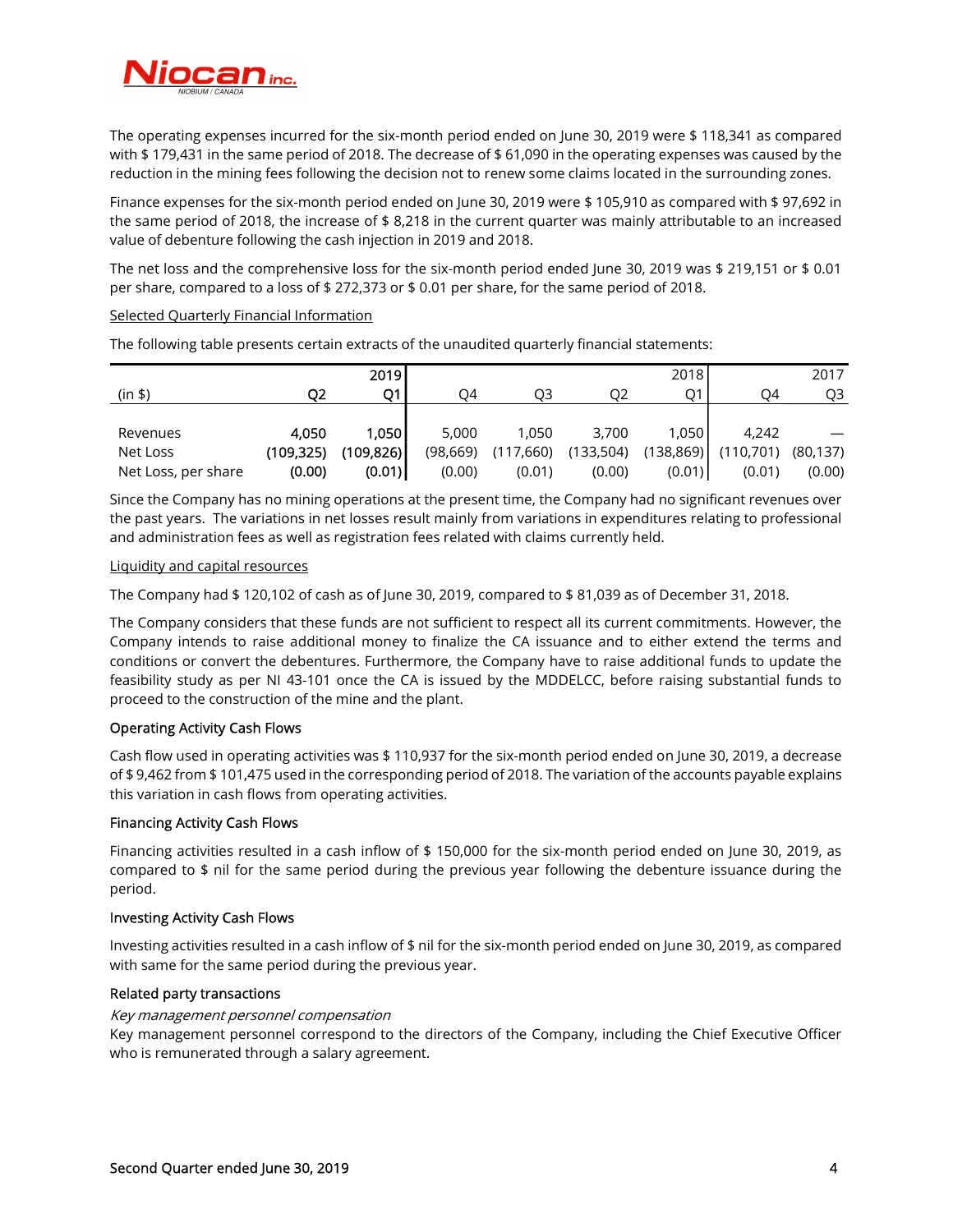

The operating expenses incurred for the six-month period ended on June 30, 2019 were \$ 118,341 as compared with \$ 179,431 in the same period of 2018. The decrease of \$ 61,090 in the operating expenses was caused by the reduction in the mining fees following the decision not to renew some claims located in the surrounding zones.

Finance expenses for the six-month period ended on June 30, 2019 were \$ 105,910 as compared with \$ 97,692 in the same period of 2018, the increase of \$ 8,218 in the current quarter was mainly attributable to an increased value of debenture following the cash injection in 2019 and 2018.

The net loss and the comprehensive loss for the six-month period ended June 30, 2019 was \$ 219,151 or \$ 0.01 per share, compared to a loss of \$ 272,373 or \$ 0.01 per share, for the same period of 2018.

## Selected Quarterly Financial Information

The following table presents certain extracts of the unaudited quarterly financial statements:

|                     |            | <b>2019</b> |           |           |           | 2018       |           | 2017     |
|---------------------|------------|-------------|-----------|-----------|-----------|------------|-----------|----------|
| (in \$)             |            | О1          | O4        | O3        | Ο2        | Ο1         | O4        | O3       |
|                     |            |             |           |           |           |            |           |          |
| Revenues            | 4.050      | 1.050 l     | 5,000     | 1.050     | 3,700     | 1.050      | 4.242     |          |
| Net Loss            | (109, 325) | (109, 826)  | (98, 669) | (117,660) | (133,504) | (138, 869) | (110,701) | (80,137) |
| Net Loss, per share | (0.00)     | (0.01)      | (0.00)    | (0.01)    | (0.00)    | (0.01)     | (0.01)    | (0.00)   |

Since the Company has no mining operations at the present time, the Company had no significant revenues over the past years. The variations in net losses result mainly from variations in expenditures relating to professional and administration fees as well as registration fees related with claims currently held.

### Liquidity and capital resources

The Company had \$ 120,102 of cash as of June 30, 2019, compared to \$ 81,039 as of December 31, 2018.

The Company considers that these funds are not sufficient to respect all its current commitments. However, the Company intends to raise additional money to finalize the CA issuance and to either extend the terms and conditions or convert the debentures. Furthermore, the Company have to raise additional funds to update the feasibility study as per NI 43-101 once the CA is issued by the MDDELCC, before raising substantial funds to proceed to the construction of the mine and the plant.

# Operating Activity Cash Flows

Cash flow used in operating activities was \$ 110,937 for the six-month period ended on June 30, 2019, a decrease of \$ 9,462 from \$ 101,475 used in the corresponding period of 2018. The variation of the accounts payable explains this variation in cash flows from operating activities.

# Financing Activity Cash Flows

Financing activities resulted in a cash inflow of \$ 150,000 for the six-month period ended on June 30, 2019, as compared to \$ nil for the same period during the previous year following the debenture issuance during the period.

# Investing Activity Cash Flows

Investing activities resulted in a cash inflow of \$ nil for the six-month period ended on June 30, 2019, as compared with same for the same period during the previous year.

# Related party transactions

# Key management personnel compensation

Key management personnel correspond to the directors of the Company, including the Chief Executive Officer who is remunerated through a salary agreement.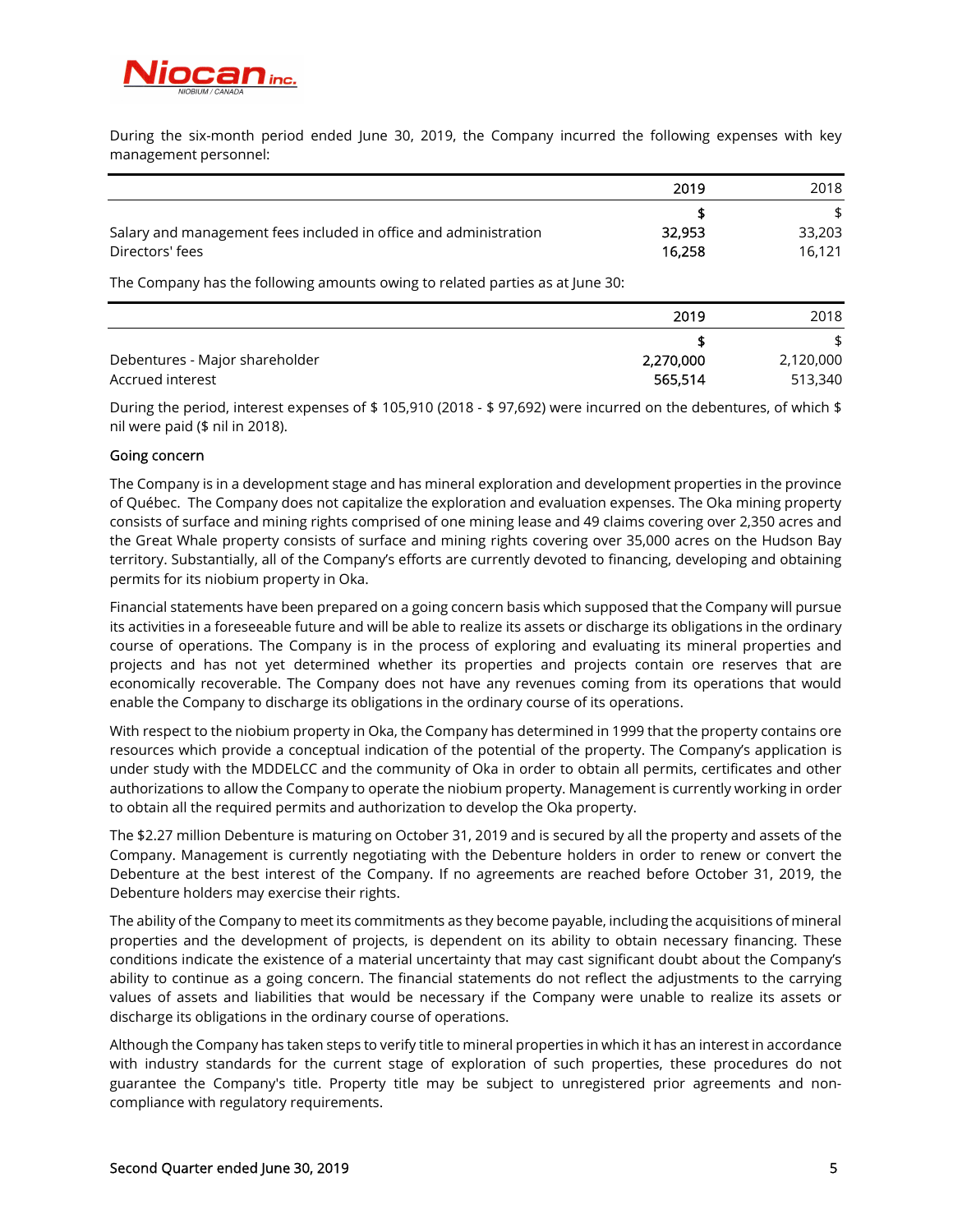

During the six-month period ended June 30, 2019, the Company incurred the following expenses with key management personnel:

|                                                                  | 2019   | 2018   |
|------------------------------------------------------------------|--------|--------|
|                                                                  |        | \$     |
| Salary and management fees included in office and administration | 32,953 | 33,203 |
| Directors' fees                                                  | 16.258 | 16.121 |

The Company has the following amounts owing to related parties as at June 30:

|                                | 2019      | 2018      |
|--------------------------------|-----------|-----------|
|                                |           | \$        |
| Debentures - Major shareholder | 2,270,000 | 2,120,000 |
| Accrued interest               | 565,514   | 513,340   |

During the period, interest expenses of \$ 105,910 (2018 - \$ 97,692) were incurred on the debentures, of which \$ nil were paid (\$ nil in 2018).

## Going concern

The Company is in a development stage and has mineral exploration and development properties in the province of Québec. The Company does not capitalize the exploration and evaluation expenses. The Oka mining property consists of surface and mining rights comprised of one mining lease and 49 claims covering over 2,350 acres and the Great Whale property consists of surface and mining rights covering over 35,000 acres on the Hudson Bay territory. Substantially, all of the Company's efforts are currently devoted to financing, developing and obtaining permits for its niobium property in Oka.

Financial statements have been prepared on a going concern basis which supposed that the Company will pursue its activities in a foreseeable future and will be able to realize its assets or discharge its obligations in the ordinary course of operations. The Company is in the process of exploring and evaluating its mineral properties and projects and has not yet determined whether its properties and projects contain ore reserves that are economically recoverable. The Company does not have any revenues coming from its operations that would enable the Company to discharge its obligations in the ordinary course of its operations.

With respect to the niobium property in Oka, the Company has determined in 1999 that the property contains ore resources which provide a conceptual indication of the potential of the property. The Company's application is under study with the MDDELCC and the community of Oka in order to obtain all permits, certificates and other authorizations to allow the Company to operate the niobium property. Management is currently working in order to obtain all the required permits and authorization to develop the Oka property.

The \$2.27 million Debenture is maturing on October 31, 2019 and is secured by all the property and assets of the Company. Management is currently negotiating with the Debenture holders in order to renew or convert the Debenture at the best interest of the Company. If no agreements are reached before October 31, 2019, the Debenture holders may exercise their rights.

The ability of the Company to meet its commitments as they become payable, including the acquisitions of mineral properties and the development of projects, is dependent on its ability to obtain necessary financing. These conditions indicate the existence of a material uncertainty that may cast significant doubt about the Company's ability to continue as a going concern. The financial statements do not reflect the adjustments to the carrying values of assets and liabilities that would be necessary if the Company were unable to realize its assets or discharge its obligations in the ordinary course of operations.

Although the Company has taken steps to verify title to mineral properties in which it has an interest in accordance with industry standards for the current stage of exploration of such properties, these procedures do not guarantee the Company's title. Property title may be subject to unregistered prior agreements and noncompliance with regulatory requirements.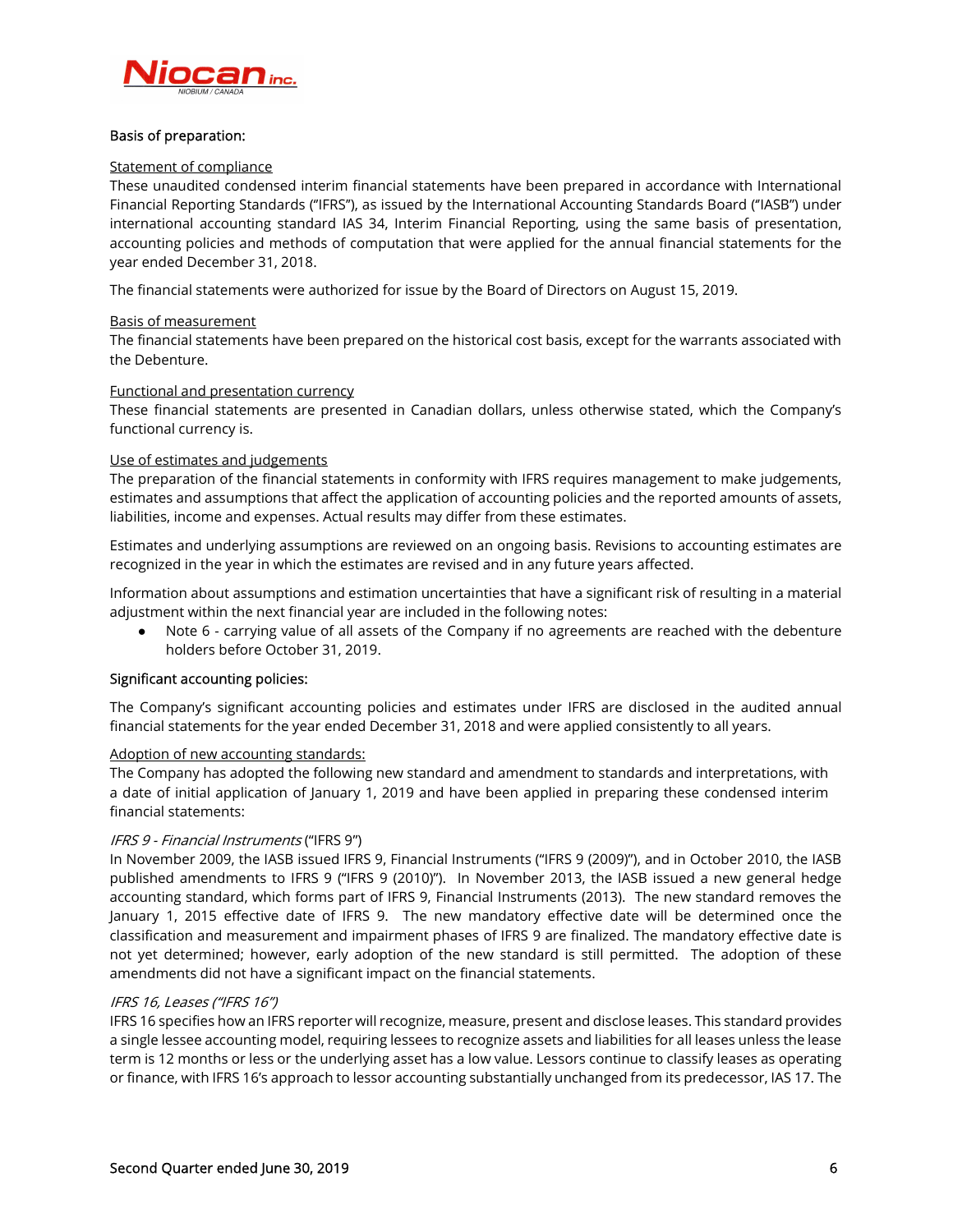

## Basis of preparation:

### Statement of compliance

These unaudited condensed interim financial statements have been prepared in accordance with International Financial Reporting Standards (''IFRS''), as issued by the International Accounting Standards Board (''IASB'') under international accounting standard IAS 34, Interim Financial Reporting, using the same basis of presentation, accounting policies and methods of computation that were applied for the annual financial statements for the year ended December 31, 2018.

The financial statements were authorized for issue by the Board of Directors on August 15, 2019.

## Basis of measurement

The financial statements have been prepared on the historical cost basis, except for the warrants associated with the Debenture.

## Functional and presentation currency

These financial statements are presented in Canadian dollars, unless otherwise stated, which the Company's functional currency is.

## Use of estimates and judgements

The preparation of the financial statements in conformity with IFRS requires management to make judgements, estimates and assumptions that affect the application of accounting policies and the reported amounts of assets, liabilities, income and expenses. Actual results may differ from these estimates.

Estimates and underlying assumptions are reviewed on an ongoing basis. Revisions to accounting estimates are recognized in the year in which the estimates are revised and in any future years affected.

Information about assumptions and estimation uncertainties that have a significant risk of resulting in a material adjustment within the next financial year are included in the following notes:

● Note 6 - carrying value of all assets of the Company if no agreements are reached with the debenture holders before October 31, 2019.

# Significant accounting policies:

The Company's significant accounting policies and estimates under IFRS are disclosed in the audited annual financial statements for the year ended December 31, 2018 and were applied consistently to all years.

### Adoption of new accounting standards:

The Company has adopted the following new standard and amendment to standards and interpretations, with a date of initial application of January 1, 2019 and have been applied in preparing these condensed interim financial statements:

# IFRS 9 - Financial Instruments ("IFRS 9")

In November 2009, the IASB issued IFRS 9, Financial Instruments ("IFRS 9 (2009)"), and in October 2010, the IASB published amendments to IFRS 9 ("IFRS 9 (2010)"). In November 2013, the IASB issued a new general hedge accounting standard, which forms part of IFRS 9, Financial Instruments (2013). The new standard removes the January 1, 2015 effective date of IFRS 9. The new mandatory effective date will be determined once the classification and measurement and impairment phases of IFRS 9 are finalized. The mandatory effective date is not yet determined; however, early adoption of the new standard is still permitted. The adoption of these amendments did not have a significant impact on the financial statements.

# IFRS 16, Leases ("IFRS 16")

IFRS 16 specifies how an IFRS reporter will recognize, measure, present and disclose leases. This standard provides a single lessee accounting model, requiring lessees to recognize assets and liabilities for all leases unless the lease term is 12 months or less or the underlying asset has a low value. Lessors continue to classify leases as operating or finance, with IFRS 16's approach to lessor accounting substantially unchanged from its predecessor, IAS 17. The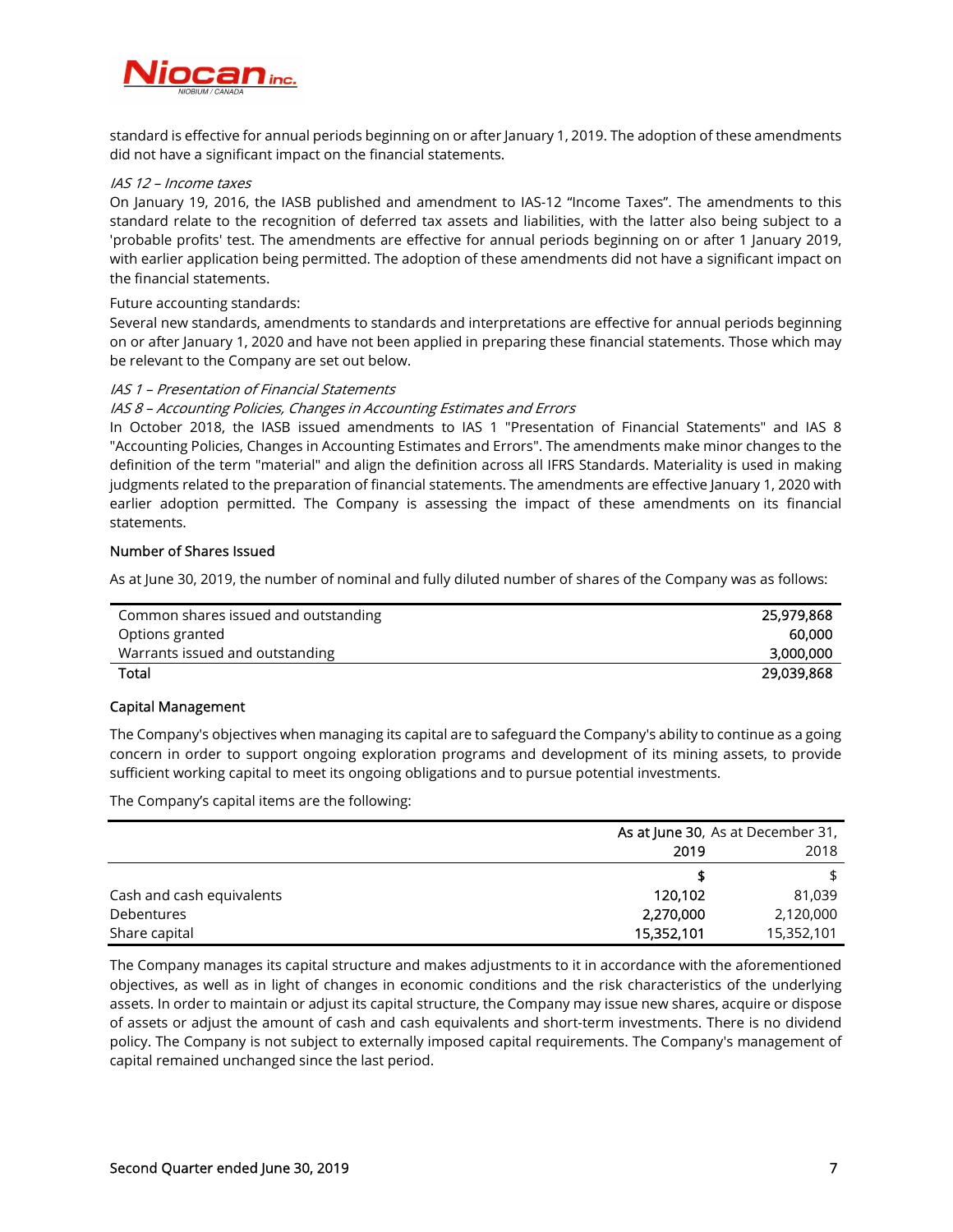

standard is effective for annual periods beginning on or after January 1, 2019. The adoption of these amendments did not have a significant impact on the financial statements.

# IAS 12 – Income taxes

On January 19, 2016, the IASB published and amendment to IAS-12 "Income Taxes". The amendments to this standard relate to the recognition of deferred tax assets and liabilities, with the latter also being subject to a 'probable profits' test. The amendments are effective for annual periods beginning on or after 1 January 2019, with earlier application being permitted. The adoption of these amendments did not have a significant impact on the financial statements.

## Future accounting standards:

Several new standards, amendments to standards and interpretations are effective for annual periods beginning on or after January 1, 2020 and have not been applied in preparing these financial statements. Those which may be relevant to the Company are set out below.

## IAS 1 – Presentation of Financial Statements

## IAS 8 – Accounting Policies, Changes in Accounting Estimates and Errors

In October 2018, the IASB issued amendments to IAS 1 "Presentation of Financial Statements" and IAS 8 "Accounting Policies, Changes in Accounting Estimates and Errors". The amendments make minor changes to the definition of the term "material" and align the definition across all IFRS Standards. Materiality is used in making judgments related to the preparation of financial statements. The amendments are effective January 1, 2020 with earlier adoption permitted. The Company is assessing the impact of these amendments on its financial statements.

## Number of Shares Issued

As at June 30, 2019, the number of nominal and fully diluted number of shares of the Company was as follows:

| Common shares issued and outstanding | 25,979,868 |
|--------------------------------------|------------|
| Options granted                      | 60.000     |
| Warrants issued and outstanding      | 3,000,000  |
| Total                                | 29,039,868 |

# Capital Management

The Company's objectives when managing its capital are to safeguard the Company's ability to continue as a going concern in order to support ongoing exploration programs and development of its mining assets, to provide sufficient working capital to meet its ongoing obligations and to pursue potential investments.

The Company's capital items are the following:

|                           | As at June 30, As at December 31, |            |  |
|---------------------------|-----------------------------------|------------|--|
|                           | 2019                              | 2018       |  |
|                           |                                   |            |  |
| Cash and cash equivalents | 120.102                           | 81,039     |  |
| Debentures                | 2,270,000                         | 2,120,000  |  |
| Share capital             | 15,352,101                        | 15,352,101 |  |

The Company manages its capital structure and makes adjustments to it in accordance with the aforementioned objectives, as well as in light of changes in economic conditions and the risk characteristics of the underlying assets. In order to maintain or adjust its capital structure, the Company may issue new shares, acquire or dispose of assets or adjust the amount of cash and cash equivalents and short-term investments. There is no dividend policy. The Company is not subject to externally imposed capital requirements. The Company's management of capital remained unchanged since the last period.